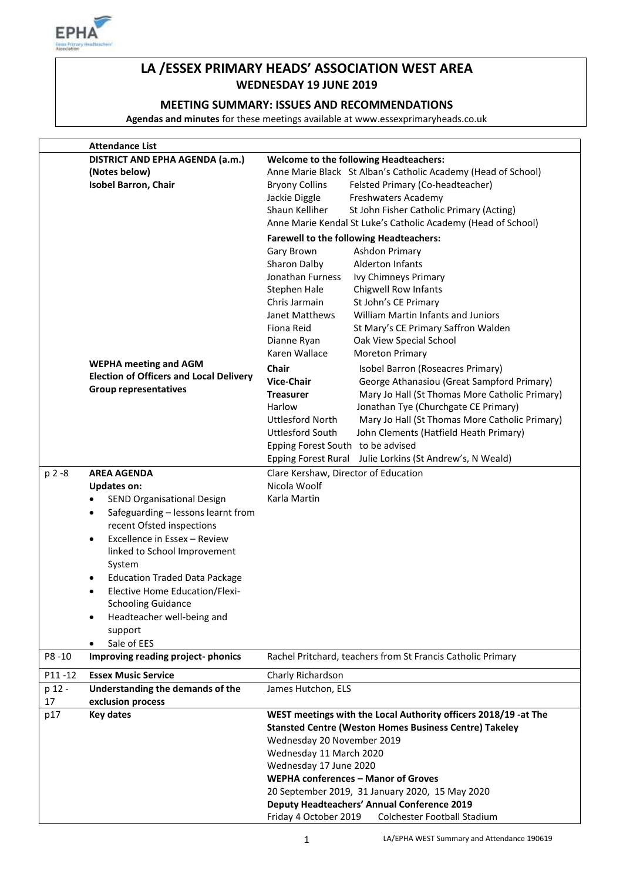

# **LA /ESSEX PRIMARY HEADS' ASSOCIATION WEST AREA WEDNESDAY 19 JUNE 2019**

# **MEETING SUMMARY: ISSUES AND RECOMMENDATIONS**

**Agendas and minutes** for these meetings available at www.essexprimaryheads.co.uk

|        | <b>Attendance List</b>                             |                                                                           |  |
|--------|----------------------------------------------------|---------------------------------------------------------------------------|--|
|        | DISTRICT AND EPHA AGENDA (a.m.)                    | <b>Welcome to the following Headteachers:</b>                             |  |
|        | (Notes below)                                      | Anne Marie Black St Alban's Catholic Academy (Head of School)             |  |
|        | <b>Isobel Barron, Chair</b>                        | <b>Bryony Collins</b><br>Felsted Primary (Co-headteacher)                 |  |
|        |                                                    | Jackie Diggle<br>Freshwaters Academy                                      |  |
|        |                                                    | Shaun Kelliher<br>St John Fisher Catholic Primary (Acting)                |  |
|        |                                                    | Anne Marie Kendal St Luke's Catholic Academy (Head of School)             |  |
|        |                                                    | <b>Farewell to the following Headteachers:</b>                            |  |
|        |                                                    | Gary Brown<br>Ashdon Primary                                              |  |
|        |                                                    | Alderton Infants<br>Sharon Dalby                                          |  |
|        |                                                    | Ivy Chimneys Primary                                                      |  |
|        |                                                    | Jonathan Furness                                                          |  |
|        |                                                    | Stephen Hale<br><b>Chigwell Row Infants</b>                               |  |
|        |                                                    | St John's CE Primary<br>Chris Jarmain                                     |  |
|        |                                                    | Janet Matthews<br>William Martin Infants and Juniors                      |  |
|        |                                                    | Fiona Reid<br>St Mary's CE Primary Saffron Walden                         |  |
|        |                                                    | Dianne Ryan<br>Oak View Special School                                    |  |
|        |                                                    | Karen Wallace<br><b>Moreton Primary</b>                                   |  |
|        | <b>WEPHA meeting and AGM</b>                       | <b>Chair</b><br>Isobel Barron (Roseacres Primary)                         |  |
|        | <b>Election of Officers and Local Delivery</b>     | <b>Vice-Chair</b><br>George Athanasiou (Great Sampford Primary)           |  |
|        | <b>Group representatives</b>                       | Mary Jo Hall (St Thomas More Catholic Primary)<br><b>Treasurer</b>        |  |
|        |                                                    | Harlow<br>Jonathan Tye (Churchgate CE Primary)                            |  |
|        |                                                    | <b>Uttlesford North</b><br>Mary Jo Hall (St Thomas More Catholic Primary) |  |
|        |                                                    | <b>Uttlesford South</b><br>John Clements (Hatfield Heath Primary)         |  |
|        |                                                    |                                                                           |  |
|        |                                                    | Epping Forest South to be advised                                         |  |
|        |                                                    | Epping Forest Rural Julie Lorkins (St Andrew's, N Weald)                  |  |
| p 2 -8 | <b>AREA AGENDA</b>                                 | Clare Kershaw, Director of Education                                      |  |
|        | <b>Updates on:</b>                                 | Nicola Woolf                                                              |  |
|        | SEND Organisational Design<br>$\bullet$            | Karla Martin                                                              |  |
|        | Safeguarding - lessons learnt from<br>$\bullet$    |                                                                           |  |
|        | recent Ofsted inspections                          |                                                                           |  |
|        | Excellence in Essex - Review<br>$\bullet$          |                                                                           |  |
|        | linked to School Improvement                       |                                                                           |  |
|        | System                                             |                                                                           |  |
|        | <b>Education Traded Data Package</b><br>$\bullet$  |                                                                           |  |
|        | <b>Elective Home Education/Flexi-</b><br>$\bullet$ |                                                                           |  |
|        | <b>Schooling Guidance</b>                          |                                                                           |  |
|        |                                                    |                                                                           |  |
|        | Headteacher well-being and<br>٠                    |                                                                           |  |
|        | support                                            |                                                                           |  |
|        | Sale of EES<br>$\bullet$                           |                                                                           |  |
| P8-10  | Improving reading project-phonics                  | Rachel Pritchard, teachers from St Francis Catholic Primary               |  |
| P11-12 | <b>Essex Music Service</b>                         | Charly Richardson                                                         |  |
| p 12 - | Understanding the demands of the                   | James Hutchon, ELS                                                        |  |
| 17     | exclusion process                                  |                                                                           |  |
| p17    | <b>Key dates</b>                                   | WEST meetings with the Local Authority officers 2018/19 -at The           |  |
|        |                                                    | <b>Stansted Centre (Weston Homes Business Centre) Takeley</b>             |  |
|        |                                                    | Wednesday 20 November 2019                                                |  |
|        |                                                    | Wednesday 11 March 2020                                                   |  |
|        |                                                    | Wednesday 17 June 2020                                                    |  |
|        |                                                    | WEPHA conferences - Manor of Groves                                       |  |
|        |                                                    | 20 September 2019, 31 January 2020, 15 May 2020                           |  |
|        |                                                    | <b>Deputy Headteachers' Annual Conference 2019</b>                        |  |
|        |                                                    |                                                                           |  |
|        |                                                    | Friday 4 October 2019<br>Colchester Football Stadium                      |  |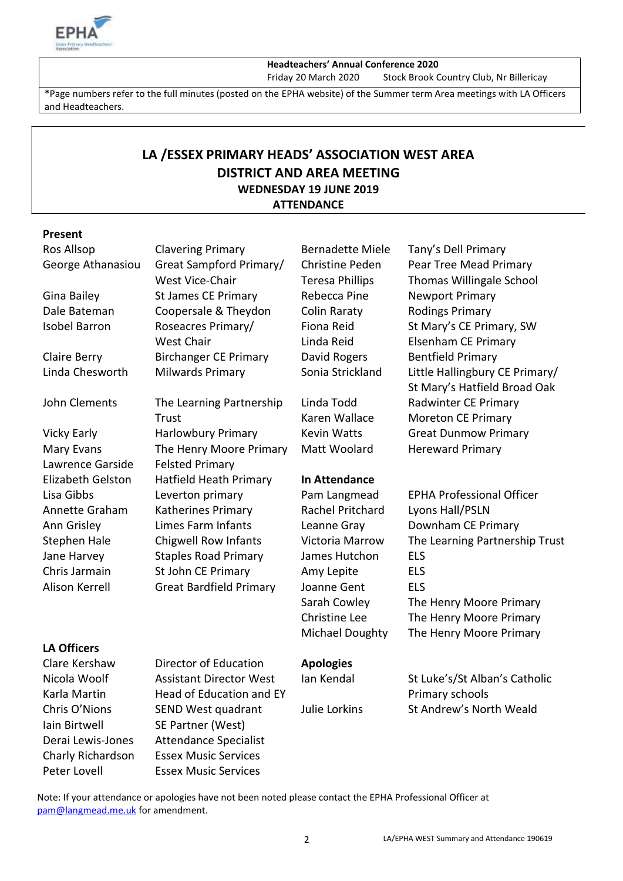

#### **Headteachers' Annual Conference 2020**

Friday 20 March 2020 Stock Brook Country Club, Nr Billericay

\*Page numbers refer to the full minutes (posted on the EPHA website) of the Summer term Area meetings with LA Officers and Headteachers.

# **LA /ESSEX PRIMARY HEADS' ASSOCIATION WEST AREA DISTRICT AND AREA MEETING WEDNESDAY 19 JUNE 2019 ATTENDANCE**

## **Present**

| Ros Allsop            | <b>Clavering Primary</b>       | <b>Bernadette Miele</b> | Tany's Dell Primary                                            |
|-----------------------|--------------------------------|-------------------------|----------------------------------------------------------------|
| George Athanasiou     | Great Sampford Primary/        | <b>Christine Peden</b>  | Pear Tree Mead Primary                                         |
|                       | West Vice-Chair                | <b>Teresa Phillips</b>  | <b>Thomas Willingale School</b>                                |
| Gina Bailey           | <b>St James CE Primary</b>     | Rebecca Pine            | <b>Newport Primary</b>                                         |
| Dale Bateman          | Coopersale & Theydon           | Colin Raraty            | <b>Rodings Primary</b>                                         |
| <b>Isobel Barron</b>  | Roseacres Primary/             | Fiona Reid              | St Mary's CE Primary, SW                                       |
|                       | <b>West Chair</b>              | Linda Reid              | <b>Elsenham CE Primary</b>                                     |
| Claire Berry          | <b>Birchanger CE Primary</b>   | David Rogers            | <b>Bentfield Primary</b>                                       |
| Linda Chesworth       | <b>Milwards Primary</b>        | Sonia Strickland        | Little Hallingbury CE Primary/<br>St Mary's Hatfield Broad Oak |
| John Clements         | The Learning Partnership       | Linda Todd              | Radwinter CE Primary                                           |
|                       | <b>Trust</b>                   | Karen Wallace           | <b>Moreton CE Primary</b>                                      |
| <b>Vicky Early</b>    | <b>Harlowbury Primary</b>      | <b>Kevin Watts</b>      | <b>Great Dunmow Primary</b>                                    |
| Mary Evans            | The Henry Moore Primary        | Matt Woolard            | <b>Hereward Primary</b>                                        |
| Lawrence Garside      | <b>Felsted Primary</b>         |                         |                                                                |
| Elizabeth Gelston     | Hatfield Heath Primary         | <b>In Attendance</b>    |                                                                |
| Lisa Gibbs            | Leverton primary               | Pam Langmead            | <b>EPHA Professional Officer</b>                               |
| Annette Graham        | Katherines Primary             | Rachel Pritchard        | Lyons Hall/PSLN                                                |
| Ann Grisley           | Limes Farm Infants             | Leanne Gray             | Downham CE Primary                                             |
| <b>Stephen Hale</b>   | <b>Chigwell Row Infants</b>    | Victoria Marrow         | The Learning Partnership Trust                                 |
| Jane Harvey           | <b>Staples Road Primary</b>    | James Hutchon           | <b>ELS</b>                                                     |
| Chris Jarmain         | St John CE Primary             | Amy Lepite              | <b>ELS</b>                                                     |
| <b>Alison Kerrell</b> | <b>Great Bardfield Primary</b> | Joanne Gent             | <b>ELS</b>                                                     |
|                       |                                | Sarah Cowley            | The Henry Moore Primary                                        |
|                       |                                | Christine Lee           | The Henry Moore Primary                                        |
|                       |                                | <b>Michael Doughty</b>  | The Henry Moore Primary                                        |
| <b>LA Officers</b>    |                                |                         |                                                                |
| Clare Kershaw         | Director of Education          | <b>Apologies</b>        |                                                                |
| Nicola Woolf          | <b>Assistant Director West</b> | lan Kendal              | St Luke's/St Alban's Catholic                                  |
| Karla Martin          | Head of Education and EY       |                         | Primary schools                                                |
| Chris O'Nions         | SEND West quadrant             | Julie Lorkins           | St Andrew's North Weald                                        |
| Iain Birtwell         | SE Partner (West)              |                         |                                                                |
| Derai Lewis-Jones     | <b>Attendance Specialist</b>   |                         |                                                                |
| Charly Richardson     | <b>Essex Music Services</b>    |                         |                                                                |

Note: If your attendance or apologies have not been noted please contact the EPHA Professional Officer at [pam@langmead.me.uk](mailto:pam@langmead.me.uk) for amendment.

Peter Lovell Essex Music Services

2 LA/EPHA WEST Summary and Attendance 190619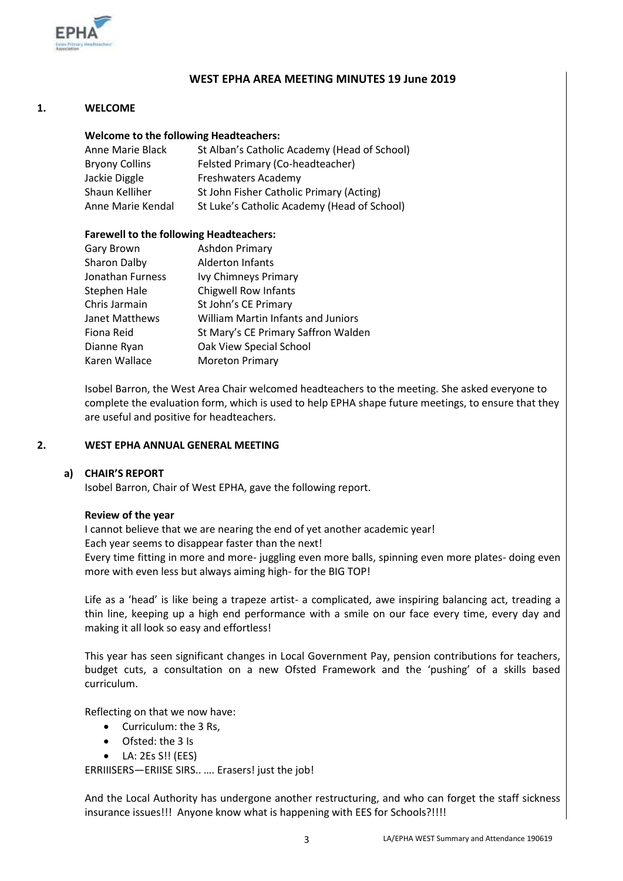

## **WEST EPHA AREA MEETING MINUTES 19 June 2019**

#### **1. WELCOME**

#### **Welcome to the following Headteachers:**

| Anne Marie Black      | St Alban's Catholic Academy (Head of School) |
|-----------------------|----------------------------------------------|
| <b>Bryony Collins</b> | Felsted Primary (Co-headteacher)             |
| Jackie Diggle         | <b>Freshwaters Academy</b>                   |
| Shaun Kelliher        | St John Fisher Catholic Primary (Acting)     |
| Anne Marie Kendal     | St Luke's Catholic Academy (Head of School)  |

#### **Farewell to the following Headteachers:**

| <b>Gary Brown</b>   | Ashdon Primary                      |
|---------------------|-------------------------------------|
| <b>Sharon Dalby</b> | <b>Alderton Infants</b>             |
| Jonathan Furness    | Ivy Chimneys Primary                |
| Stephen Hale        | <b>Chigwell Row Infants</b>         |
| Chris Jarmain       | St John's CE Primary                |
| Janet Matthews      | William Martin Infants and Juniors  |
| Fiona Reid          | St Mary's CE Primary Saffron Walden |
| Dianne Ryan         | Oak View Special School             |
| Karen Wallace       | <b>Moreton Primary</b>              |
|                     |                                     |

Isobel Barron, the West Area Chair welcomed headteachers to the meeting. She asked everyone to complete the evaluation form, which is used to help EPHA shape future meetings, to ensure that they are useful and positive for headteachers.

#### **2. WEST EPHA ANNUAL GENERAL MEETING**

#### **a) CHAIR'S REPORT**

Isobel Barron, Chair of West EPHA, gave the following report.

#### **Review of the year**

I cannot believe that we are nearing the end of yet another academic year! Each year seems to disappear faster than the next! Every time fitting in more and more- juggling even more balls, spinning even more plates- doing even more with even less but always aiming high- for the BIG TOP!

Life as a 'head' is like being a trapeze artist- a complicated, awe inspiring balancing act, treading a thin line, keeping up a high end performance with a smile on our face every time, every day and making it all look so easy and effortless!

This year has seen significant changes in Local Government Pay, pension contributions for teachers, budget cuts, a consultation on a new Ofsted Framework and the 'pushing' of a skills based curriculum.

Reflecting on that we now have:

- Curriculum: the 3 Rs,
- Ofsted: the 3 Is
- $\bullet$  LA: 2Es S!! (EES)

ERRIIISERS—ERIISE SIRS.. …. Erasers! just the job!

And the Local Authority has undergone another restructuring, and who can forget the staff sickness insurance issues!!! Anyone know what is happening with EES for Schools?!!!!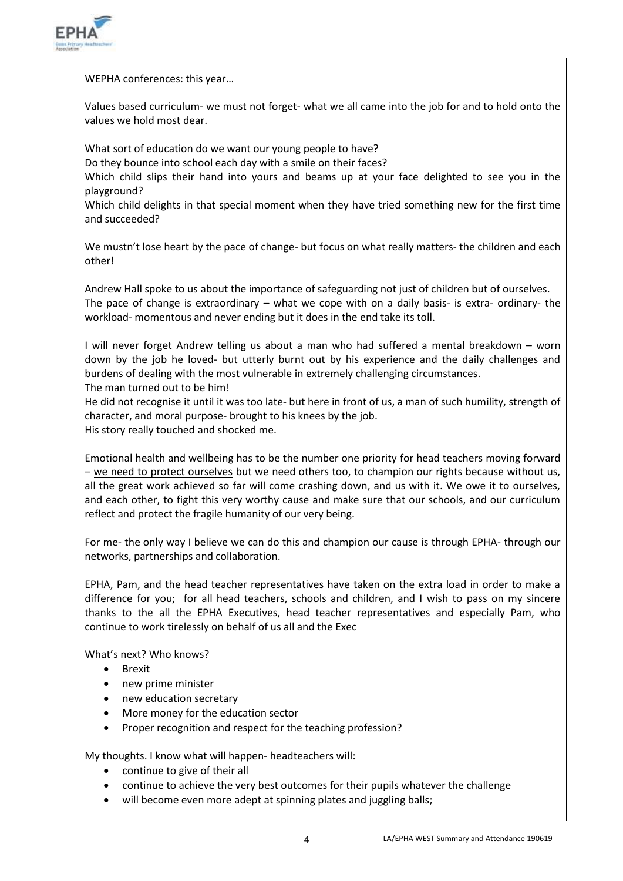

WEPHA conferences: this year…

Values based curriculum- we must not forget- what we all came into the job for and to hold onto the values we hold most dear.

What sort of education do we want our young people to have? Do they bounce into school each day with a smile on their faces? Which child slips their hand into yours and beams up at your face delighted to see you in the playground?

Which child delights in that special moment when they have tried something new for the first time and succeeded?

We mustn't lose heart by the pace of change- but focus on what really matters- the children and each other!

Andrew Hall spoke to us about the importance of safeguarding not just of children but of ourselves. The pace of change is extraordinary – what we cope with on a daily basis- is extra- ordinary- the workload- momentous and never ending but it does in the end take its toll.

I will never forget Andrew telling us about a man who had suffered a mental breakdown – worn down by the job he loved- but utterly burnt out by his experience and the daily challenges and burdens of dealing with the most vulnerable in extremely challenging circumstances. The man turned out to be him!

He did not recognise it until it was too late- but here in front of us, a man of such humility, strength of character, and moral purpose- brought to his knees by the job. His story really touched and shocked me.

Emotional health and wellbeing has to be the number one priority for head teachers moving forward – we need to protect ourselves but we need others too, to champion our rights because without us, all the great work achieved so far will come crashing down, and us with it. We owe it to ourselves, and each other, to fight this very worthy cause and make sure that our schools, and our curriculum reflect and protect the fragile humanity of our very being.

For me- the only way I believe we can do this and champion our cause is through EPHA- through our networks, partnerships and collaboration.

EPHA, Pam, and the head teacher representatives have taken on the extra load in order to make a difference for you; for all head teachers, schools and children, and I wish to pass on my sincere thanks to the all the EPHA Executives, head teacher representatives and especially Pam, who continue to work tirelessly on behalf of us all and the Exec

What's next? Who knows?

- Brexit
- new prime minister
- new education secretary
- More money for the education sector
- Proper recognition and respect for the teaching profession?

My thoughts. I know what will happen- headteachers will:

- continue to give of their all
- continue to achieve the very best outcomes for their pupils whatever the challenge
- will become even more adept at spinning plates and juggling balls;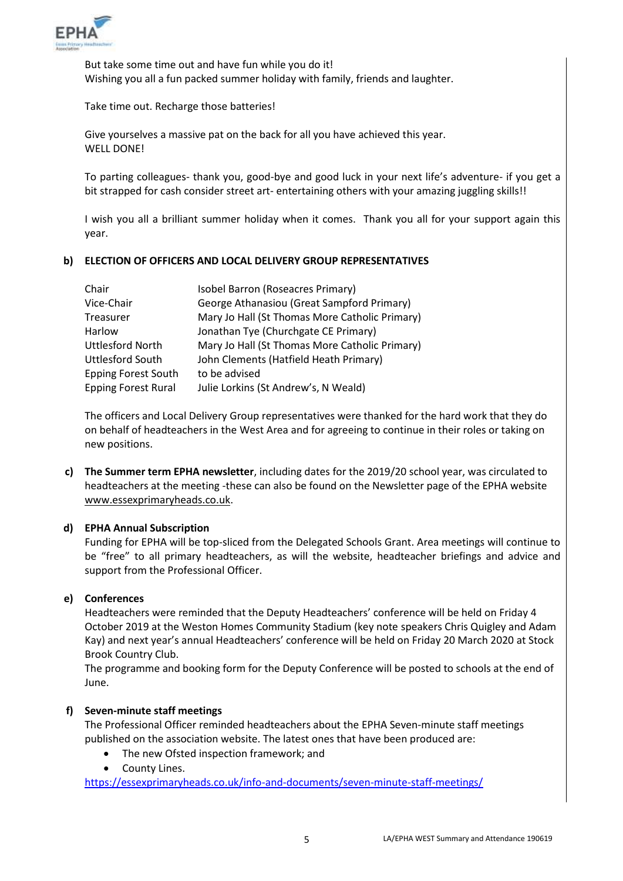

But take some time out and have fun while you do it! Wishing you all a fun packed summer holiday with family, friends and laughter.

Take time out. Recharge those batteries!

Give yourselves a massive pat on the back for all you have achieved this year. WELL DONE!

To parting colleagues- thank you, good-bye and good luck in your next life's adventure- if you get a bit strapped for cash consider street art- entertaining others with your amazing juggling skills!!

I wish you all a brilliant summer holiday when it comes. Thank you all for your support again this year.

#### **b) ELECTION OF OFFICERS AND LOCAL DELIVERY GROUP REPRESENTATIVES**

| Chair                      | Isobel Barron (Roseacres Primary)              |
|----------------------------|------------------------------------------------|
| Vice-Chair                 | George Athanasiou (Great Sampford Primary)     |
| Treasurer                  | Mary Jo Hall (St Thomas More Catholic Primary) |
| Harlow                     | Jonathan Tye (Churchgate CE Primary)           |
| <b>Uttlesford North</b>    | Mary Jo Hall (St Thomas More Catholic Primary) |
| <b>Uttlesford South</b>    | John Clements (Hatfield Heath Primary)         |
| <b>Epping Forest South</b> | to be advised                                  |
| <b>Epping Forest Rural</b> | Julie Lorkins (St Andrew's, N Weald)           |

The officers and Local Delivery Group representatives were thanked for the hard work that they do on behalf of headteachers in the West Area and for agreeing to continue in their roles or taking on new positions.

**c) The Summer term EPHA newsletter**, including dates for the 2019/20 school year, was circulated to headteachers at the meeting -these can also be found on the Newsletter page of the EPHA website [www.essexprimaryheads.co.uk.](http://www.essexprimaryheads.co.uk/)

#### **d) EPHA Annual Subscription**

Funding for EPHA will be top-sliced from the Delegated Schools Grant. Area meetings will continue to be "free" to all primary headteachers, as will the website, headteacher briefings and advice and support from the Professional Officer.

# **e) Conferences**

Headteachers were reminded that the Deputy Headteachers' conference will be held on Friday 4 October 2019 at the Weston Homes Community Stadium (key note speakers Chris Quigley and Adam Kay) and next year's annual Headteachers' conference will be held on Friday 20 March 2020 at Stock Brook Country Club.

The programme and booking form for the Deputy Conference will be posted to schools at the end of June.

### **f) Seven-minute staff meetings**

The Professional Officer reminded headteachers about the EPHA Seven-minute staff meetings published on the association website. The latest ones that have been produced are:

- The new Ofsted inspection framework; and
- County Lines.

<https://essexprimaryheads.co.uk/info-and-documents/seven-minute-staff-meetings/>